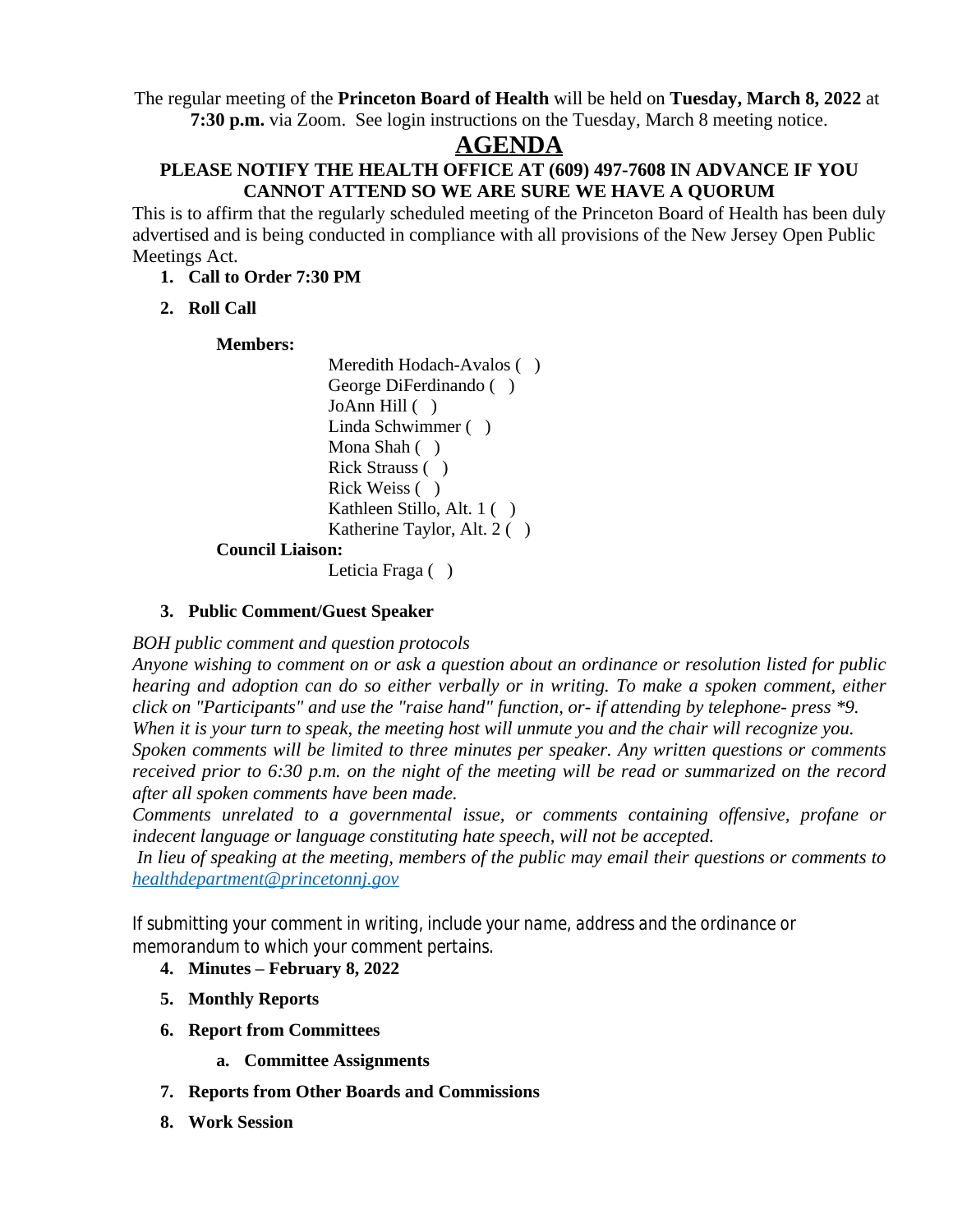The regular meeting of the **Princeton Board of Health** will be held on **Tuesday, March 8, 2022** at **7:30 p.m.** via Zoom. See login instructions on the Tuesday, March 8 meeting notice.

## **AGENDA**

#### **PLEASE NOTIFY THE HEALTH OFFICE AT (609) 497-7608 IN ADVANCE IF YOU CANNOT ATTEND SO WE ARE SURE WE HAVE A QUORUM**

This is to affirm that the regularly scheduled meeting of the Princeton Board of Health has been duly advertised and is being conducted in compliance with all provisions of the New Jersey Open Public Meetings Act.

- **1. Call to Order 7:30 PM**
- **2. Roll Call**

### **Members:**

Meredith Hodach-Avalos () George DiFerdinando ( ) JoAnn Hill ( ) Linda Schwimmer ( ) Mona Shah ( ) Rick Strauss ( ) Rick Weiss ( ) Kathleen Stillo, Alt. 1 ( ) Katherine Taylor, Alt. 2 ( )

### **Council Liaison:**

Leticia Fraga ()

### **3. Public Comment/Guest Speaker**

*BOH public comment and question protocols*

*Anyone wishing to comment on or ask a question about an ordinance or resolution listed for public hearing and adoption can do so either verbally or in writing. To make a spoken comment, either click on "Participants" and use the "raise hand" function, or- if attending by telephone- press \*9. When it is your turn to speak, the meeting host will unmute you and the chair will recognize you. Spoken comments will be limited to three minutes per speaker. Any written questions or comments* received prior to 6:30 p.m. on the night of the meeting will be read or summarized on the record *after all spoken comments have been made.*

*Comments unrelated to a governmental issue, or comments containing offensive, profane or indecent language or language constituting hate speech, will not be accepted.*

*In lieu of speaking at the meeting, members of the public may email their questions or comments to [healthdepartment@princetonnj.gov](mailto:healthdepartment@princetonnj.gov)*

*If submitting your comment in writing, include your name, address and the ordinance or memorandum to which your comment pertains.*

- **4. Minutes – February 8, 2022**
- **5. Monthly Reports**
- **6. Report from Committees**
	- **a. Committee Assignments**
- **7. Reports from Other Boards and Commissions**
- **8. Work Session**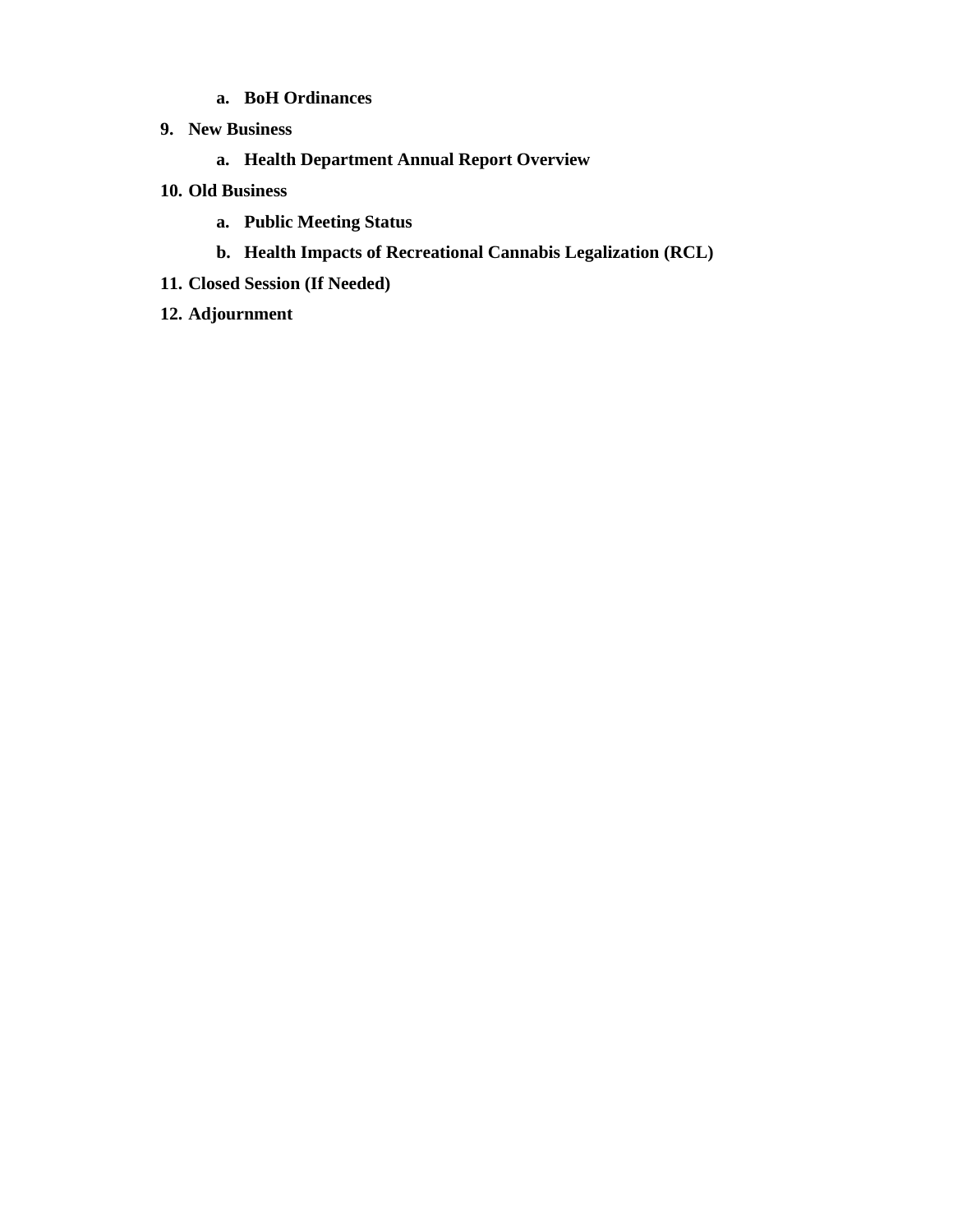- **a. BoH Ordinances**
- **9. New Business**
	- **a. Health Department Annual Report Overview**
- **10. Old Business**
	- **a. Public Meeting Status**
	- **b. Health Impacts of Recreational Cannabis Legalization (RCL)**
- **11. Closed Session (If Needed)**
- **12. Adjournment**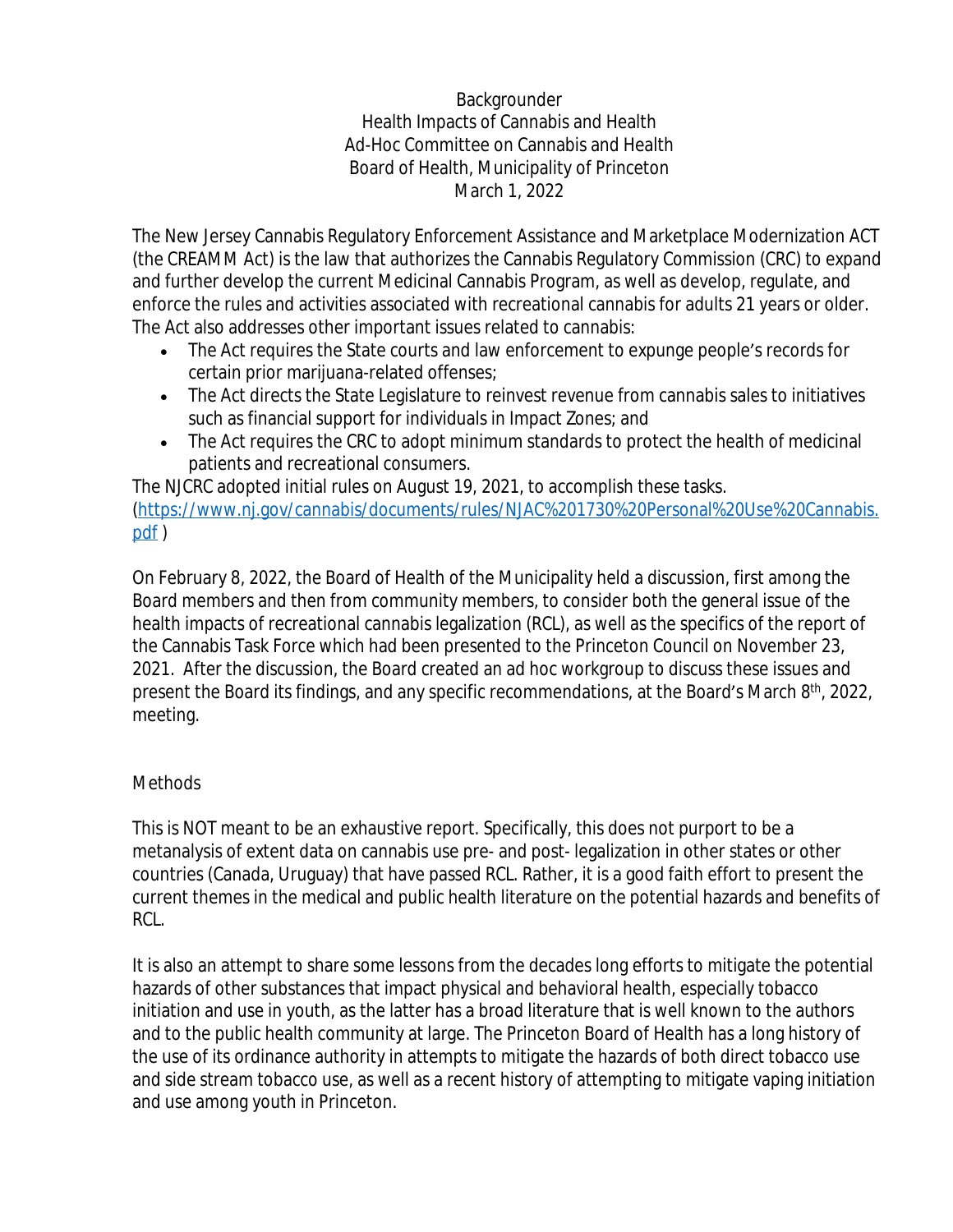Backgrounder Health Impacts of Cannabis and Health Ad-Hoc Committee on Cannabis and Health Board of Health, Municipality of Princeton March 1, 2022

The New Jersey Cannabis Regulatory Enforcement Assistance and Marketplace Modernization ACT (the CREAMM Act) is the law that authorizes the Cannabis Regulatory Commission (CRC) to expand and further develop the current Medicinal Cannabis Program, as well as develop, regulate, and enforce the rules and activities associated with recreational cannabis for adults 21 years or older. The Act also addresses other important issues related to cannabis:

- The Act requires the State courts and law enforcement to expunge people's records for certain prior marijuana-related offenses;
- The Act directs the State Legislature to reinvest revenue from cannabis sales to initiatives such as financial support for individuals in Impact Zones; and
- The Act requires the CRC to adopt minimum standards to protect the health of medicinal patients and recreational consumers.

The NJCRC adopted initial rules on August 19, 2021, to accomplish these tasks. ([https://www.nj.gov/cannabis/documents/rules/NJAC%201730%20Personal%20Use%20Cannabis.](https://www.nj.gov/cannabis/documents/rules/NJAC%201730%20Personal%20Use%20Cannabis.pdf) pdf )

On February 8, 2022, the Board of Health of the Municipality held a discussion, first among the Board members and then from community members, to consider both the general issue of the health impacts of recreational cannabis legalization (RCL), as well as the specifics of the report of the Cannabis Task Force which had been presented to the Princeton Council on November 23, 2021. After the discussion, the Board created an ad hoc workgroup to discuss these issues and present the Board its findings, and any specific recommendations, at the Board's March 8<sup>th</sup>, 2022, meeting.

## Methods

This is NOT meant to be an exhaustive report. Specifically, this does not purport to be a metanalysis of extent data on cannabis use pre- and post- legalization in other states or other countries (Canada, Uruguay) that have passed RCL. Rather, it is a good faith effort to present the current themes in the medical and public health literature on the potential hazards and benefits of RCL.

It is also an attempt to share some lessons from the decades long efforts to mitigate the potential hazards of other substances that impact physical and behavioral health, especially tobacco initiation and use in youth, as the latter has a broad literature that is well known to the authors and to the public health community at large. The Princeton Board of Health has a long history of the use of its ordinance authority in attempts to mitigate the hazards of both direct tobacco use and side stream tobacco use, as well as a recent history of attempting to mitigate vaping initiation and use among youth in Princeton.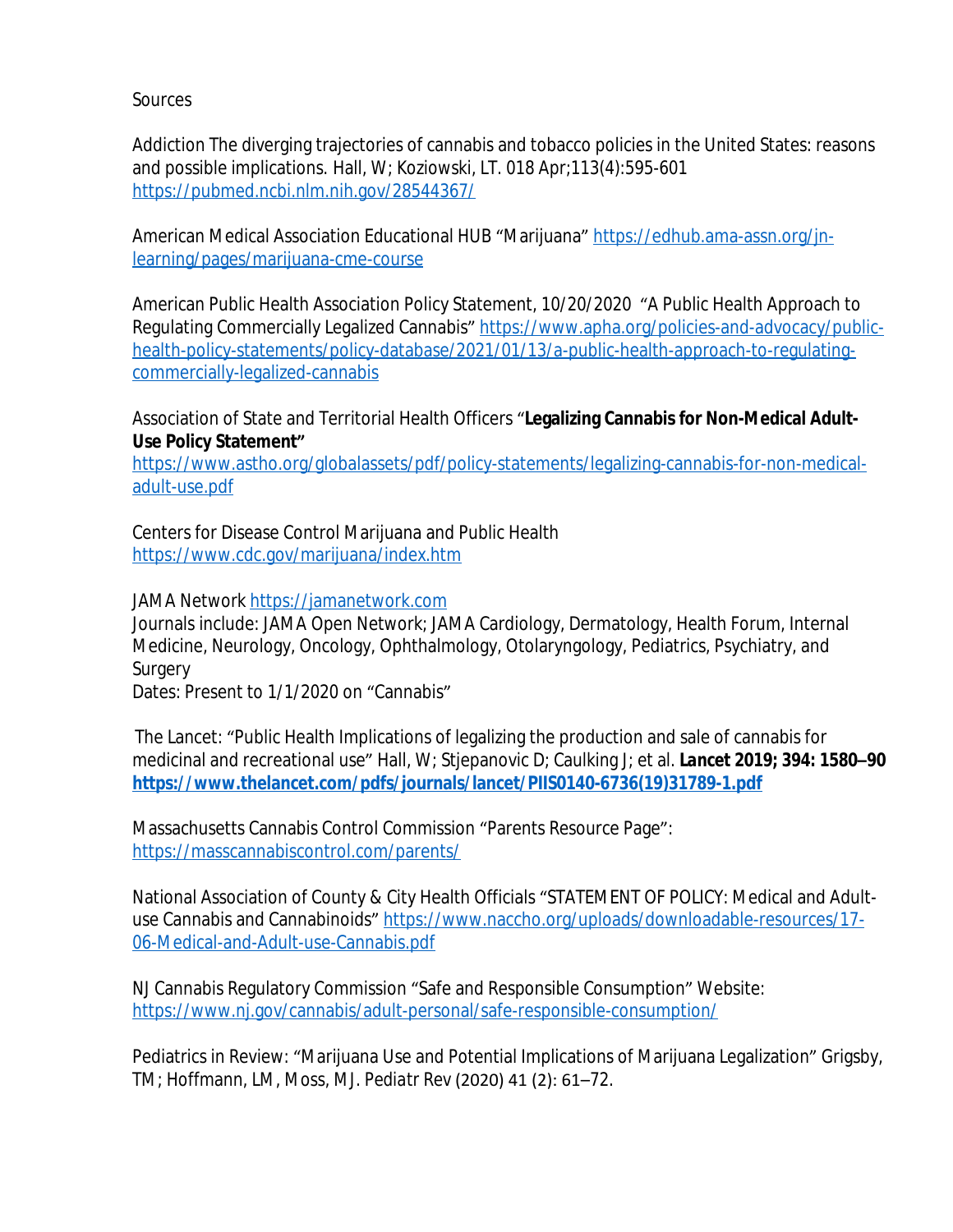**Sources** 

Addiction The diverging trajectories of cannabis and tobacco policies in the United States: reasons and possible implications. Hall, W; Koziowski, LT. 018 Apr;113(4):595-601 <https://pubmed.ncbi.nlm.nih.gov/28544367/>

American Medical Association Educational HUB "Marijuana" [https://edhub.ama-assn.org/jn](https://edhub.ama-assn.org/jn-learning/pages/marijuana-cme-course)learning/pages/marijuana-cme-course

American Public Health Association Policy Statement, 10/20/2020 "A Public Health Approach to Regulating Commercially Legalized Cannabis" [https://www.apha.org/policies-and-advocacy/public](https://www.apha.org/policies-and-advocacy/public-health-policy-statements/policy-database/2021/01/13/a-public-health-approach-to-regulating-commercially-legalized-cannabis)health-policy-statements/policy-database/2021/01/13/a-public-health-approach-to-regulatingcommercially-legalized-cannabis

Association of State and Territorial Health Officers "**Legalizing Cannabis for Non-Medical Adult-Use Policy Statement"**

[https://www.astho.org/globalassets/pdf/policy-statements/legalizing-cannabis-for-non-medical](https://www.astho.org/globalassets/pdf/policy-statements/legalizing-cannabis-for-non-medical-adult-use.pdf)adult-use.pdf

Centers for Disease Control Marijuana and Public Health <https://www.cdc.gov/marijuana/index.htm>

JAMA Network <https://jamanetwork.com>

Journals include: JAMA Open Network; JAMA Cardiology, Dermatology, Health Forum, Internal Medicine, Neurology, Oncology, Ophthalmology, Otolaryngology, Pediatrics, Psychiatry, and **Surgery** 

Dates: Present to 1/1/2020 on "Cannabis"

The Lancet: "Public Health Implications of legalizing the production and sale of cannabis for medicinal and recreational use" Hall, W; Stjepanovic D; Caulking J; et al. *Lancet* **2019; 394: 1580–90 [https://www.thelancet.com/pdfs/journals/lancet/PIIS0140-6736\(19\)31789-1.pdf](https://www.thelancet.com/pdfs/journals/lancet/PIIS0140-6736(19)31789-1.pdf)**

Massachusetts Cannabis Control Commission "Parents Resource Page": <https://masscannabiscontrol.com/parents/>

National Association of County & City Health Officials "STATEMENT OF POLICY: Medical and Adultuse Cannabis and Cannabinoids" [https://www.naccho.org/uploads/downloadable-resources/17-](https://www.naccho.org/uploads/downloadable-resources/17-06-Medical-and-Adult-use-Cannabis.pdf) 06-Medical-and-Adult-use-Cannabis.pdf

NJ Cannabis Regulatory Commission "Safe and Responsible Consumption" Website: <https://www.nj.gov/cannabis/adult-personal/safe-responsible-consumption/>

Pediatrics in Review: "Marijuana Use and Potential Implications of Marijuana Legalization" Grigsby, TM; Hoffmann, LM, Moss, MJ. *Pediatr Rev* (2020) 41 (2): 61–72.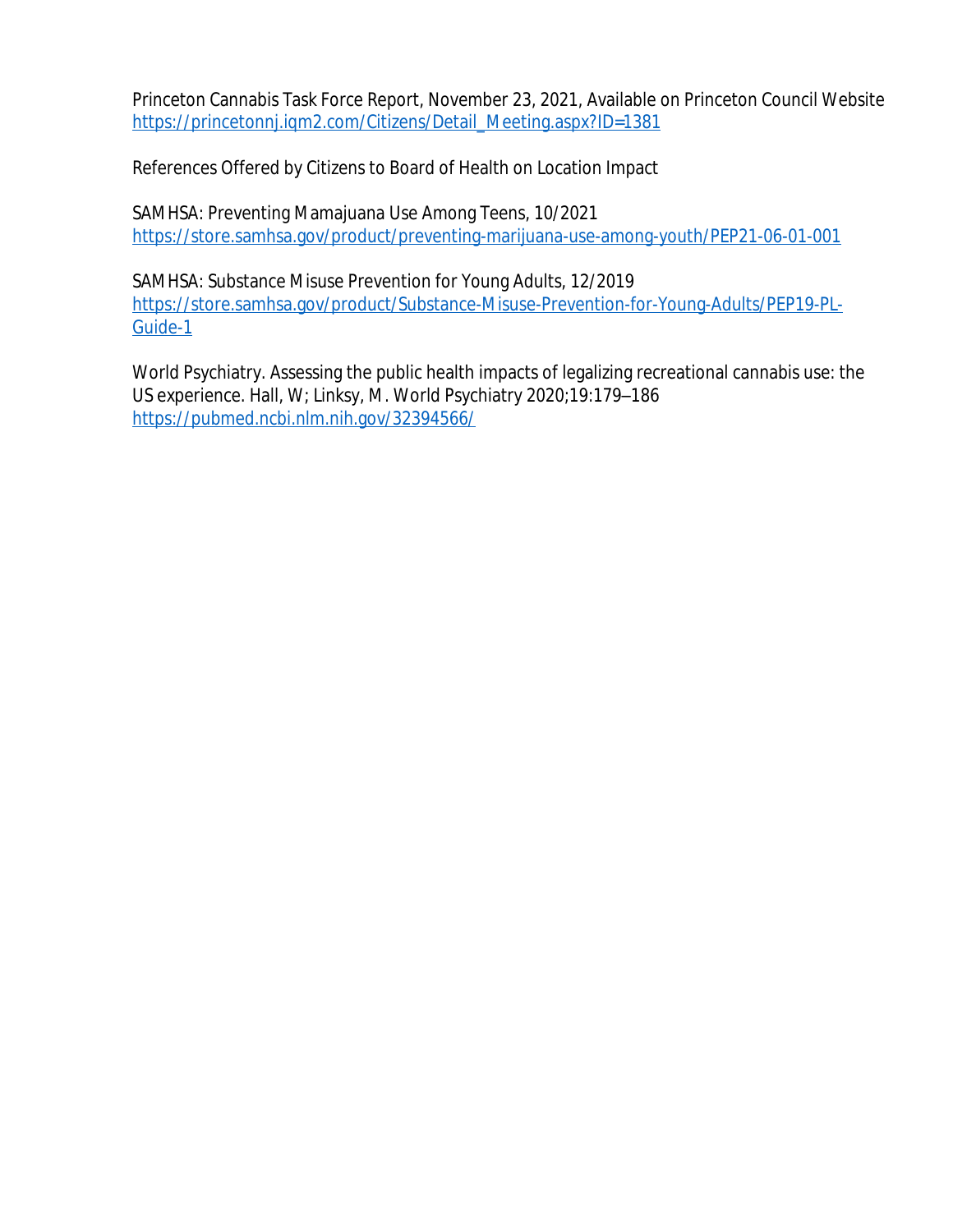Princeton Cannabis Task Force Report, November 23, 2021, Available on Princeton Council Website [https://princetonnj.iqm2.com/Citizens/Detail\\_Meeting.aspx?ID=1381](https://princetonnj.iqm2.com/Citizens/Detail_Meeting.aspx?ID=1381)

References Offered by Citizens to Board of Health on Location Impact

SAMHSA: Preventing Mamajuana Use Among Teens, 10/2021 <https://store.samhsa.gov/product/preventing-marijuana-use-among-youth/PEP21-06-01-001>

SAMHSA: Substance Misuse Prevention for Young Adults, 12/2019 [https://store.samhsa.gov/product/Substance-Misuse-Prevention-for-Young-Adults/PEP19-PL-](https://store.samhsa.gov/product/Substance-Misuse-Prevention-for-Young-Adults/PEP19-PL-Guide-1)Guide-1

World Psychiatry. Assessing the public health impacts of legalizing recreational cannabis use: the US experience. Hall, W; Linksy, M. World Psychiatry 2020;19:179–186 <https://pubmed.ncbi.nlm.nih.gov/32394566/>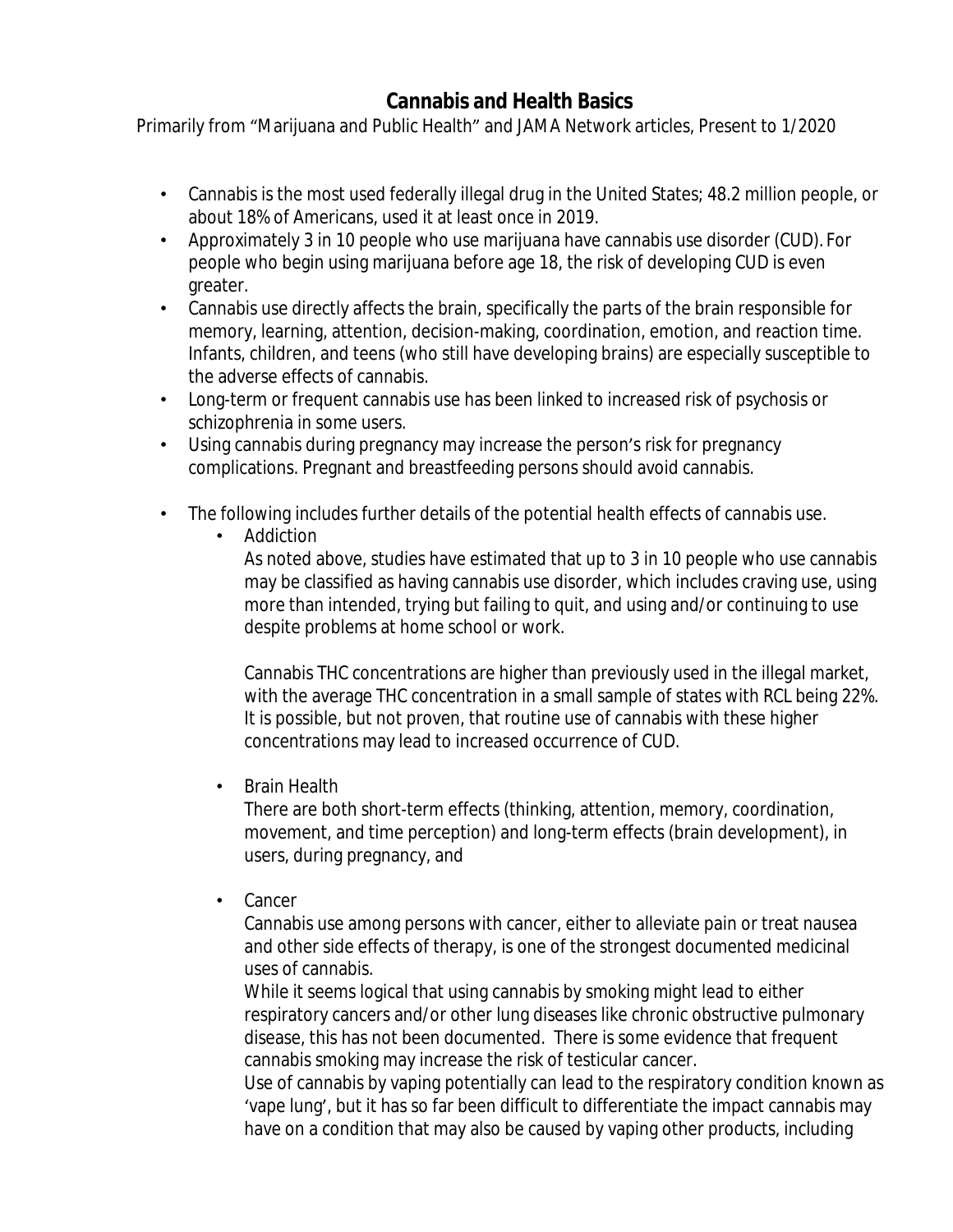# **Cannabis and Health Basics**

Primarily from "Marijuana and Public Health" and JAMA Network articles, Present to 1/2020

- Cannabis is the most used federally illegal drug in the United States; 48.2 million people, or about 18% of Americans, used it at least once in 2019.
- Approximately 3 in 10 people who use marijuana have cannabis use disorder (CUD). For people who begin using marijuana before age 18, the risk of developing CUD is even greater.
- Cannabis use directly affects the brain, specifically the parts of the brain responsible for memory, learning, attention, decision-making, coordination, emotion, and reaction time. Infants, children, and teens (who still have developing brains) are especially susceptible to the adverse effects of cannabis.
- Long-term or frequent cannabis use has been linked to increased risk of psychosis or schizophrenia in some users.
- Using cannabis during pregnancy may increase the person's risk for pregnancy complications. Pregnant and breastfeeding persons should avoid cannabis.
- The following includes further details of the potential health effects of cannabis use.
	- Addiction

As noted above, studies have estimated that up to 3 in 10 people who use cannabis may be classified as having cannabis use disorder, which includes craving use, using more than intended, trying but failing to quit, and using and/or continuing to use despite problems at home school or work.

Cannabis THC concentrations are higher than previously used in the illegal market, with the average THC concentration in a small sample of states with RCL being 22%. It is possible, but not proven, that routine use of cannabis with these higher concentrations may lead to increased occurrence of CUD.

• Brain Health

There are both short-term effects (thinking, attention, memory, coordination, movement, and time perception) and long-term effects (brain development), in users, during pregnancy, and

• Cancer

Cannabis use among persons with cancer, either to alleviate pain or treat nausea and other side effects of therapy, is one of the strongest documented medicinal uses of cannabis.

While it seems logical that using cannabis by smoking might lead to either respiratory cancers and/or other lung diseases like chronic obstructive pulmonary disease, this has not been documented. There is some evidence that frequent cannabis smoking may increase the risk of testicular cancer.

Use of cannabis by vaping potentially can lead to the respiratory condition known as 'vape lung', but it has so far been difficult to differentiate the impact cannabis may have on a condition that may also be caused by vaping other products, including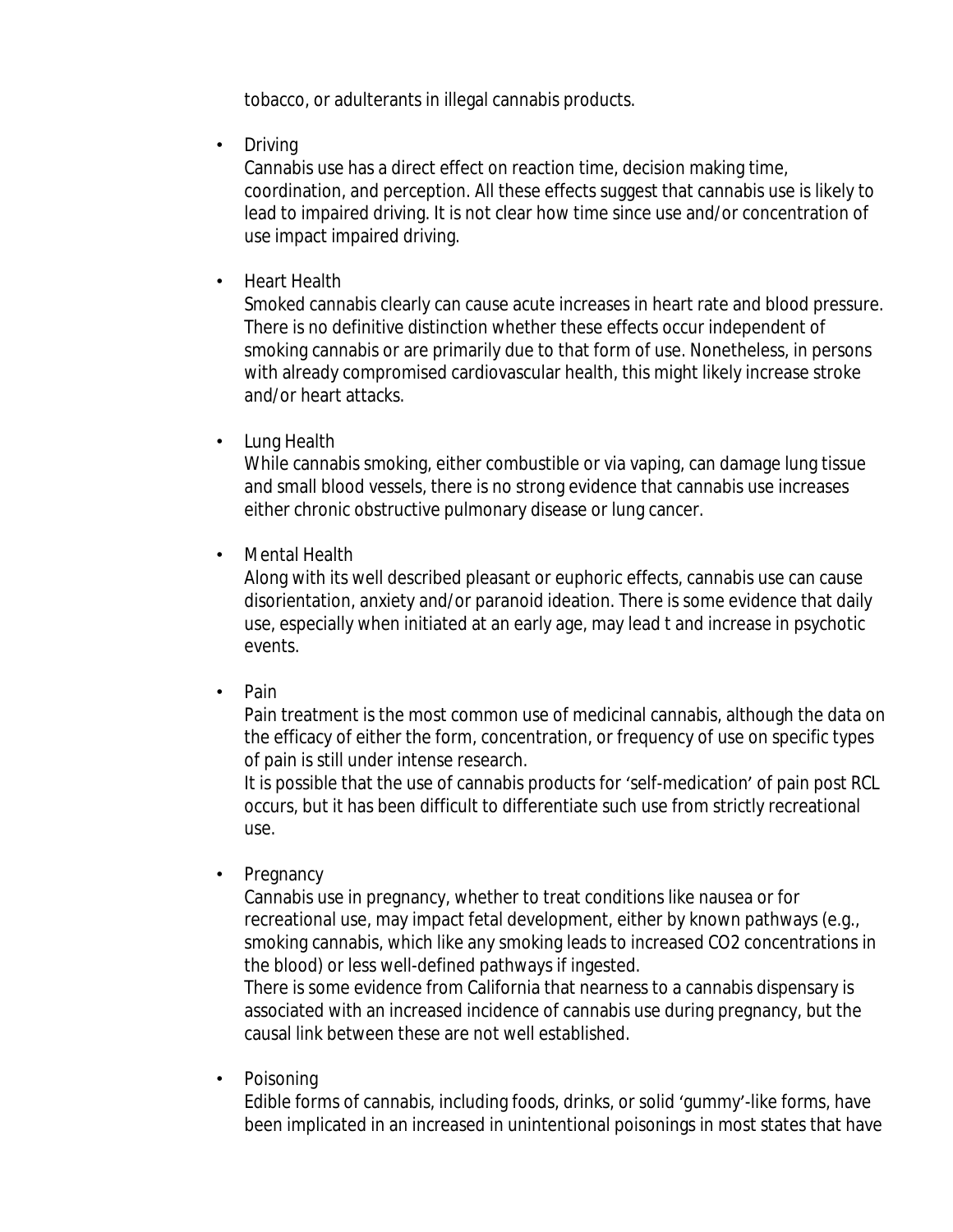tobacco, or adulterants in illegal cannabis products.

• Driving

Cannabis use has a direct effect on reaction time, decision making time, coordination, and perception. All these effects suggest that cannabis use is likely to lead to impaired driving. It is not clear how time since use and/or concentration of use impact impaired driving.

• Heart Health

Smoked cannabis clearly can cause acute increases in heart rate and blood pressure. There is no definitive distinction whether these effects occur independent of smoking cannabis or are primarily due to that form of use. Nonetheless, in persons with already compromised cardiovascular health, this might likely increase stroke and/or heart attacks.

• Lung Health

While cannabis smoking, either combustible or via vaping, can damage lung tissue and small blood vessels, there is no strong evidence that cannabis use increases either chronic obstructive pulmonary disease or lung cancer.

• Mental Health

Along with its well described pleasant or euphoric effects, cannabis use can cause disorientation, anxiety and/or paranoid ideation. There is some evidence that daily use, especially when initiated at an early age, may lead t and increase in psychotic events.

• Pain

Pain treatment is the most common use of medicinal cannabis, although the data on the efficacy of either the form, concentration, or frequency of use on specific types of pain is still under intense research.

It is possible that the use of cannabis products for 'self-medication' of pain post RCL occurs, but it has been difficult to differentiate such use from strictly recreational use.

• Pregnancy

Cannabis use in pregnancy, whether to treat conditions like nausea or for recreational use, may impact fetal development, either by known pathways (e.g., smoking cannabis, which like any smoking leads to increased CO2 concentrations in the blood) or less well-defined pathways if ingested.

There is some evidence from California that nearness to a cannabis dispensary is associated with an increased incidence of cannabis use during pregnancy, but the causal link between these are not well established.

• Poisoning

Edible forms of cannabis, including foods, drinks, or solid 'gummy'-like forms, have been implicated in an increased in unintentional poisonings in most states that have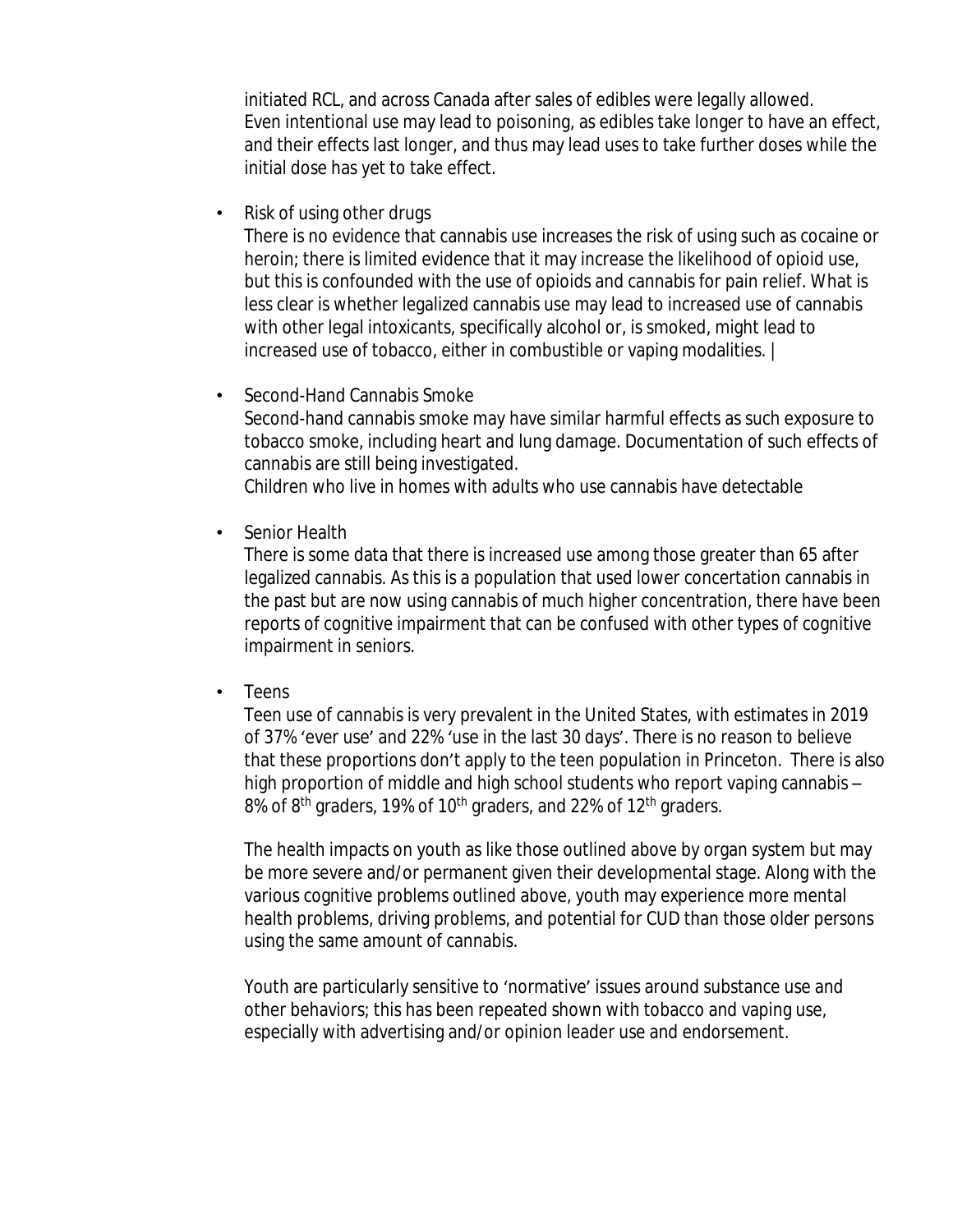initiated RCL, and across Canada after sales of edibles were legally allowed. Even intentional use may lead to poisoning, as edibles take longer to have an effect, and their effects last longer, and thus may lead uses to take further doses while the initial dose has yet to take effect.

• Risk of using other drugs

There is no evidence that cannabis use increases the risk of using such as cocaine or heroin; there is limited evidence that it may increase the likelihood of opioid use, but this is confounded with the use of opioids and cannabis for pain relief. What is less clear is whether legalized cannabis use may lead to increased use of cannabis with other legal intoxicants, specifically alcohol or, is smoked, might lead to increased use of tobacco, either in combustible or vaping modalities. |

• Second-Hand Cannabis Smoke Second-hand cannabis smoke may have similar harmful effects as such exposure to

tobacco smoke, including heart and lung damage. Documentation of such effects of cannabis are still being investigated.

Children who live in homes with adults who use cannabis have detectable

Senior Health

There is some data that there is increased use among those greater than 65 after legalized cannabis. As this is a population that used lower concertation cannabis in the past but are now using cannabis of much higher concentration, there have been reports of cognitive impairment that can be confused with other types of cognitive impairment in seniors.

• Teens

Teen use of cannabis is very prevalent in the United States, with estimates in 2019 of 37% 'ever use' and 22% 'use in the last 30 days'. There is no reason to believe that these proportions don't apply to the teen population in Princeton. There is also high proportion of middle and high school students who report vaping cannabis – 8% of 8<sup>th</sup> graders, 19% of 10<sup>th</sup> graders, and 22% of 12<sup>th</sup> graders.

The health impacts on youth as like those outlined above by organ system but may be more severe and/or permanent given their developmental stage. Along with the various cognitive problems outlined above, youth may experience more mental health problems, driving problems, and potential for CUD than those older persons using the same amount of cannabis.

Youth are particularly sensitive to 'normative' issues around substance use and other behaviors; this has been repeated shown with tobacco and vaping use, especially with advertising and/or opinion leader use and endorsement.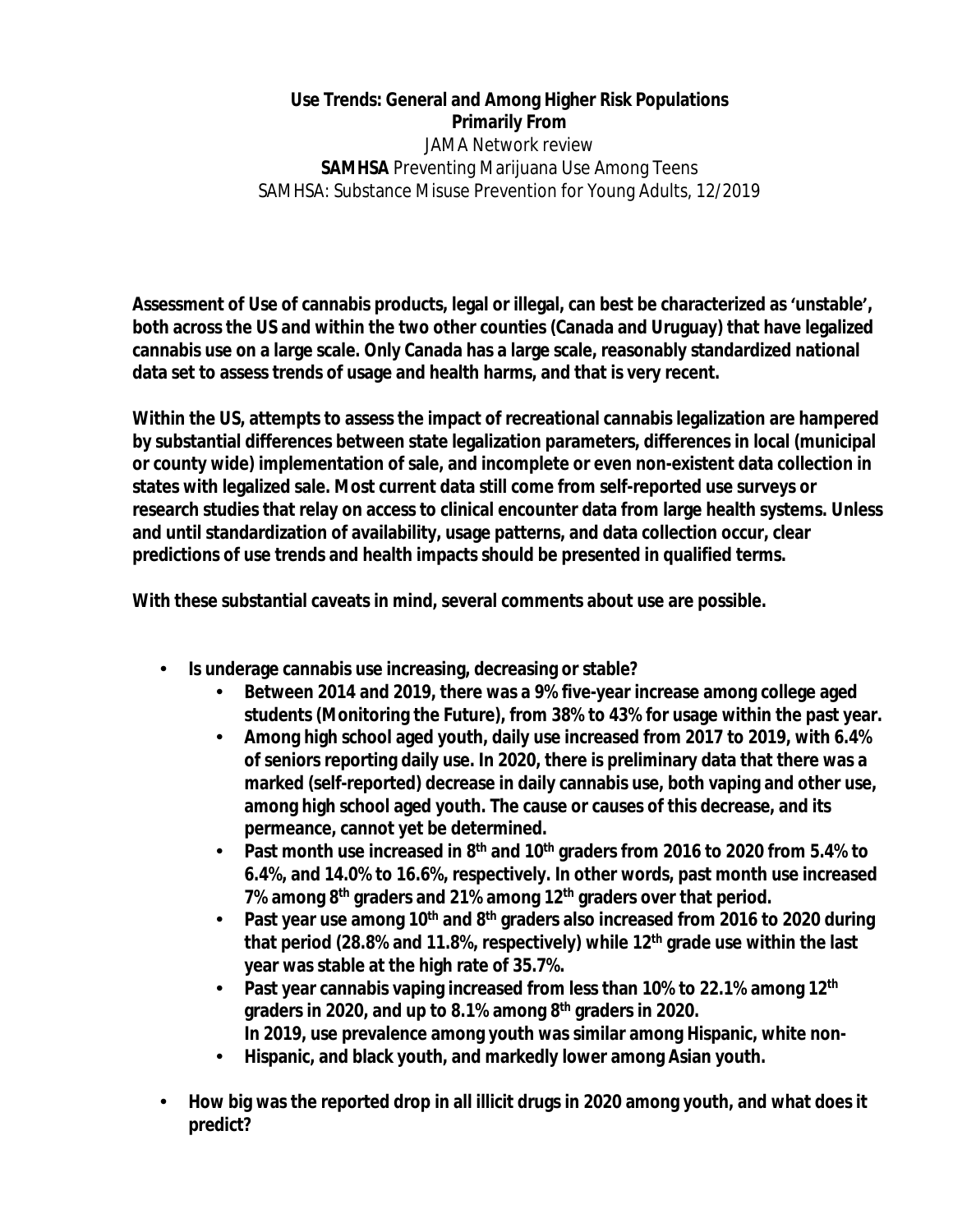## **Use Trends: General and Among Higher Risk Populations Primarily From**

JAMA Network review **SAMHSA** Preventing Marijuana Use Among Teens SAMHSA: Substance Misuse Prevention for Young Adults, 12/2019

**Assessment of Use of cannabis products, legal or illegal, can best be characterized as 'unstable', both across the US and within the two other counties (Canada and Uruguay) that have legalized cannabis use on a large scale. Only Canada has a large scale, reasonably standardized national data set to assess trends of usage and health harms, and that is very recent.**

**Within the US, attempts to assess the impact of recreational cannabis legalization are hampered by substantial differences between state legalization parameters, differences in local (municipal or county wide) implementation of sale, and incomplete or even non-existent data collection in states with legalized sale. Most current data still come from self-reported use surveys or research studies that relay on access to clinical encounter data from large health systems. Unless and until standardization of availability, usage patterns, and data collection occur, clear predictions of use trends and health impacts should be presented in qualified terms.**

**With these substantial caveats in mind, several comments about use are possible.**

- **• Is underage cannabis use increasing, decreasing or stable?**
	- **• Between 2014 and 2019, there was a 9% five-year increase among college aged students (Monitoring the Future), from 38% to 43% for usage within the past year.**
	- **• Among high school aged youth, daily use increased from 2017 to 2019, with 6.4% of seniors reporting daily use. In 2020, there is preliminary data that there was a marked (self-reported) decrease in daily cannabis use, both vaping and other use, among high school aged youth. The cause or causes of this decrease, and its permeance, cannot yet be determined.**
	- **• Past month use increased in 8th and 10th graders from 2016 to 2020 from 5.4% to 6.4%, and 14.0% to 16.6%, respectively. In other words, past month use increased 7% among 8th graders and 21% among 12th graders over that period.**
	- **• Past year use among 10th and 8th graders also increased from 2016 to 2020 during that period (28.8% and 11.8%, respectively) while 12th grade use within the last year was stable at the high rate of 35.7%.**
	- **• Past year cannabis vaping increased from less than 10% to 22.1% among 12th graders in 2020, and up to 8.1% among 8th graders in 2020. In 2019, use prevalence among youth was similar among Hispanic, white non-**
	- **• Hispanic, and black youth, and markedly lower among Asian youth.**
- **• How big was the reported drop in all illicit drugs in 2020 among youth, and what does it predict?**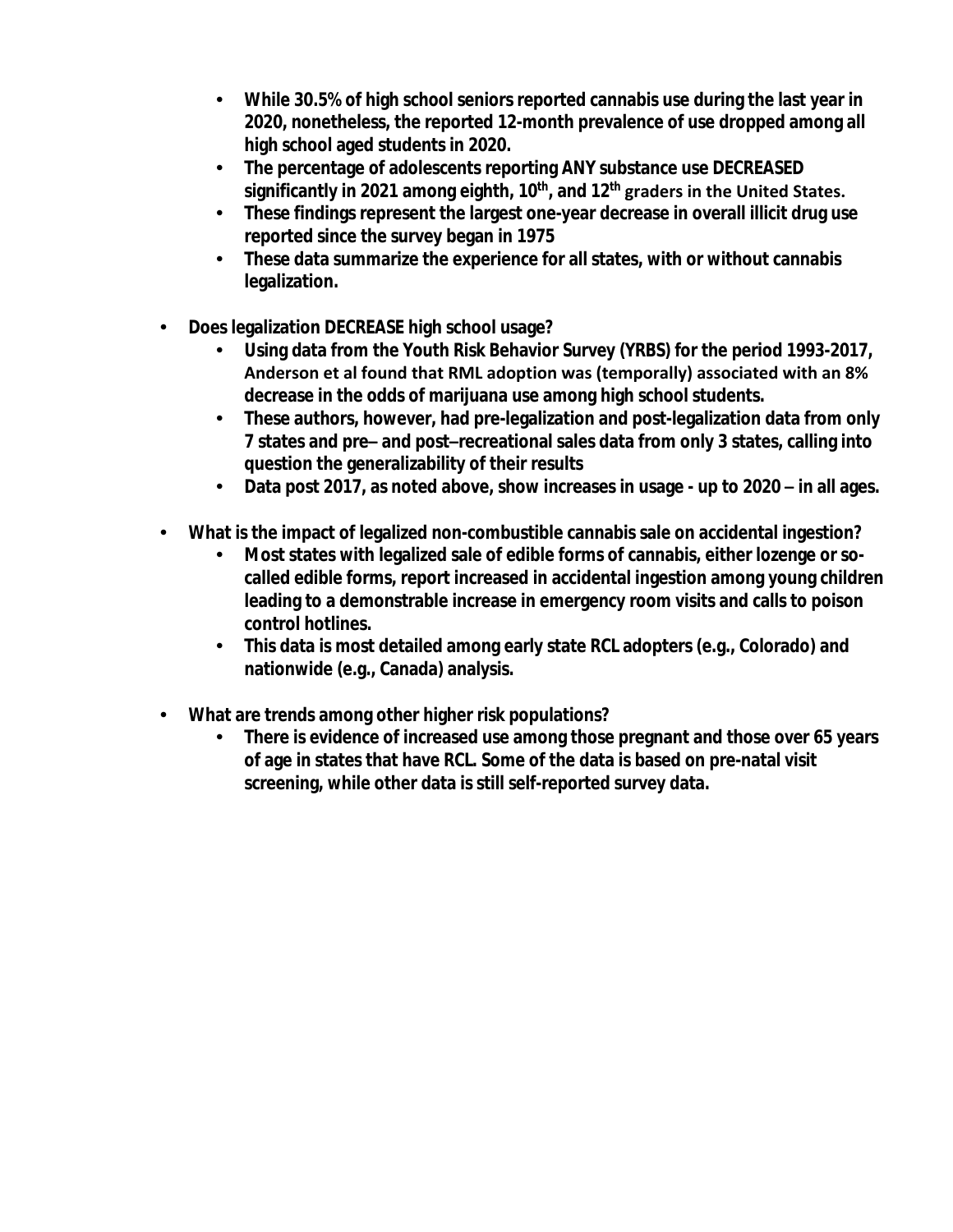- **• While 30.5% of high school seniors reported cannabis use during the last year in 2020, nonetheless, the reported 12-month prevalence of use dropped among all high school aged students in 2020.**
- **• The percentage of adolescents reporting ANY substance use DECREASED significantly in 2021 among eighth, 10th, and 12th graders in the United States.**
- **• These findings represent the largest one-year decrease in overall illicit drug use reported since the survey began in 1975**
- **• These data summarize the experience for all states, with or without cannabis legalization.**
- **• Does legalization DECREASE high school usage?**
	- **• Using data from the Youth Risk Behavior Survey (YRBS) for the period 1993-2017, Anderson et al found that RML adoption was (temporally) associated with an 8% decrease in the odds of marijuana use among high school students.**
	- **• These authors, however, had pre-legalization and post-legalization data from only 7 states and pre– and post–recreational sales data from only 3 states, calling into question the generalizability of their results**
	- **• Data post 2017, as noted above, show increases in usage up to 2020 – in all ages.**
- **• What is the impact of legalized non-combustible cannabis sale on accidental ingestion?**
	- **• Most states with legalized sale of edible forms of cannabis, either lozenge or socalled edible forms, report increased in accidental ingestion among young children leading to a demonstrable increase in emergency room visits and calls to poison control hotlines.**
	- **• This data is most detailed among early state RCL adopters (e.g., Colorado) and nationwide (e.g., Canada) analysis.**
- **• What are trends among other higher risk populations?**
	- **• There is evidence of increased use among those pregnant and those over 65 years of age in states that have RCL. Some of the data is based on pre-natal visit screening, while other data is still self-reported survey data.**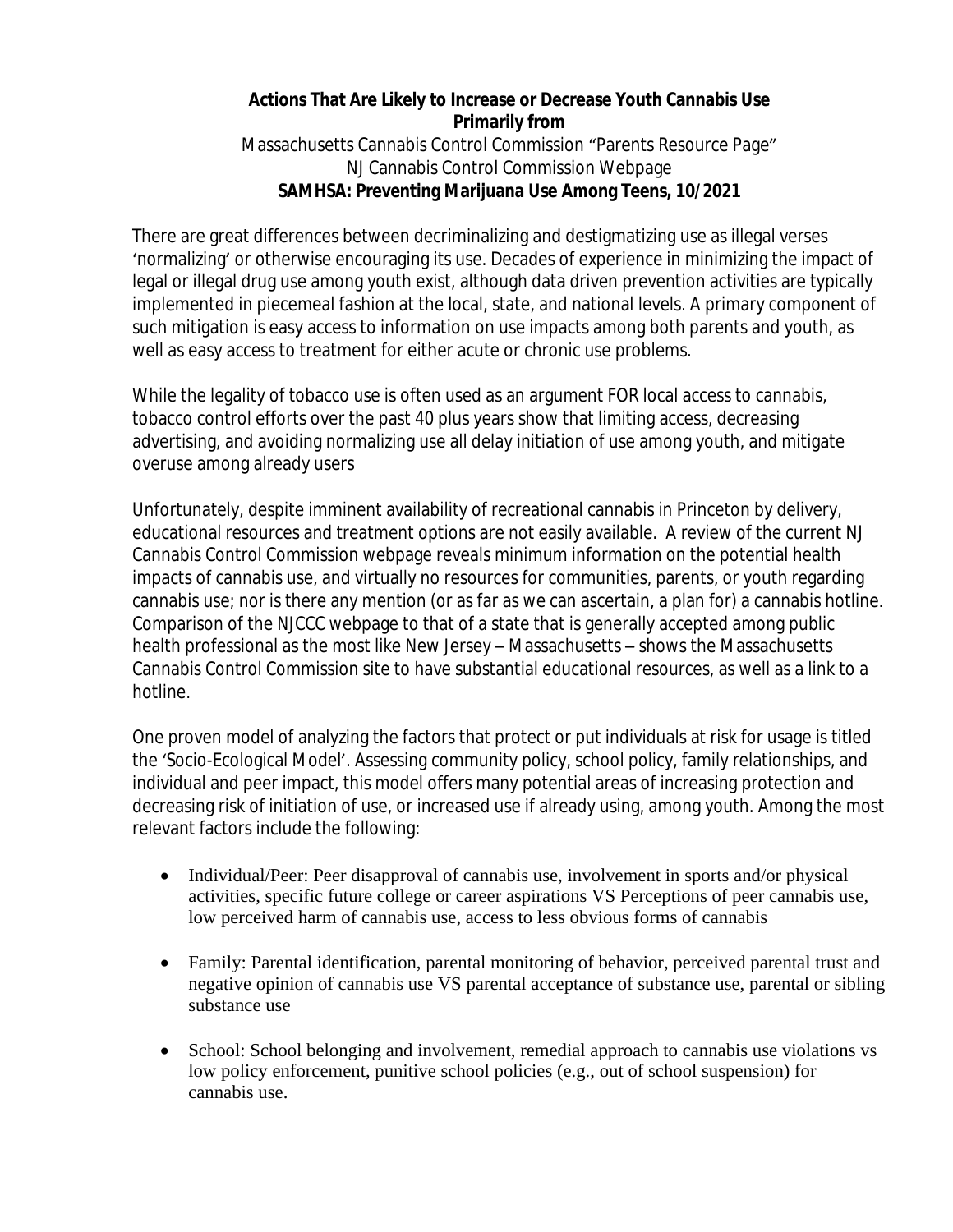### **Actions That Are Likely to Increase or Decrease Youth Cannabis Use Primarily from**

Massachusetts Cannabis Control Commission "Parents Resource Page" NJ Cannabis Control Commission Webpage **SAMHSA: Preventing Marijuana Use Among Teens, 10/2021**

There are great differences between decriminalizing and destigmatizing use as illegal verses 'normalizing' or otherwise encouraging its use. Decades of experience in minimizing the impact of legal or illegal drug use among youth exist, although data driven prevention activities are typically implemented in piecemeal fashion at the local, state, and national levels. A primary component of such mitigation is easy access to information on use impacts among both parents and youth, as well as easy access to treatment for either acute or chronic use problems.

While the legality of tobacco use is often used as an argument FOR local access to cannabis, tobacco control efforts over the past 40 plus years show that limiting access, decreasing advertising, and avoiding normalizing use all delay initiation of use among youth, and mitigate overuse among already users

Unfortunately, despite imminent availability of recreational cannabis in Princeton by delivery, educational resources and treatment options are not easily available. A review of the current NJ Cannabis Control Commission webpage reveals minimum information on the potential health impacts of cannabis use, and virtually no resources for communities, parents, or youth regarding cannabis use; nor is there any mention (or as far as we can ascertain, a plan for) a cannabis hotline. Comparison of the NJCCC webpage to that of a state that is generally accepted among public health professional as the most like New Jersey – Massachusetts – shows the Massachusetts Cannabis Control Commission site to have substantial educational resources, as well as a link to a hotline.

One proven model of analyzing the factors that protect or put individuals at risk for usage is titled the 'Socio-Ecological Model'. Assessing community policy, school policy, family relationships, and individual and peer impact, this model offers many potential areas of increasing protection and decreasing risk of initiation of use, or increased use if already using, among youth. Among the most relevant factors include the following:

- Individual/Peer: Peer disapproval of cannabis use, involvement in sports and/or physical activities, specific future college or career aspirations VS Perceptions of peer cannabis use, low perceived harm of cannabis use, access to less obvious forms of cannabis
- Family: Parental identification, parental monitoring of behavior, perceived parental trust and negative opinion of cannabis use VS parental acceptance of substance use, parental or sibling substance use
- School: School belonging and involvement, remedial approach to cannabis use violations vs low policy enforcement, punitive school policies (e.g., out of school suspension) for cannabis use.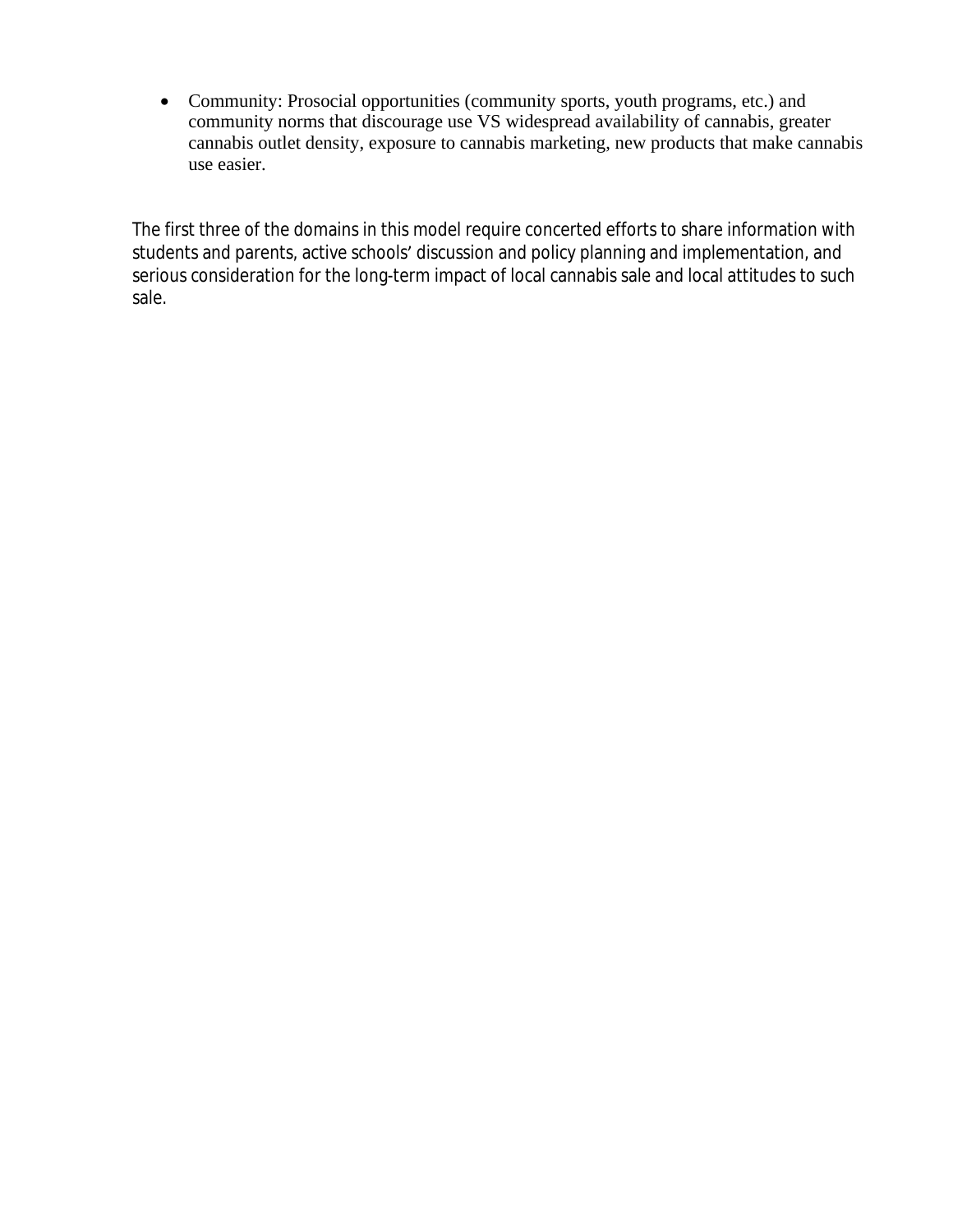Community: Prosocial opportunities (community sports, youth programs, etc.) and community norms that discourage use VS widespread availability of cannabis, greater cannabis outlet density, exposure to cannabis marketing, new products that make cannabis use easier.

The first three of the domains in this model require concerted efforts to share information with students and parents, active schools' discussion and policy planning and implementation, and serious consideration for the long-term impact of local cannabis sale and local attitudes to such sale.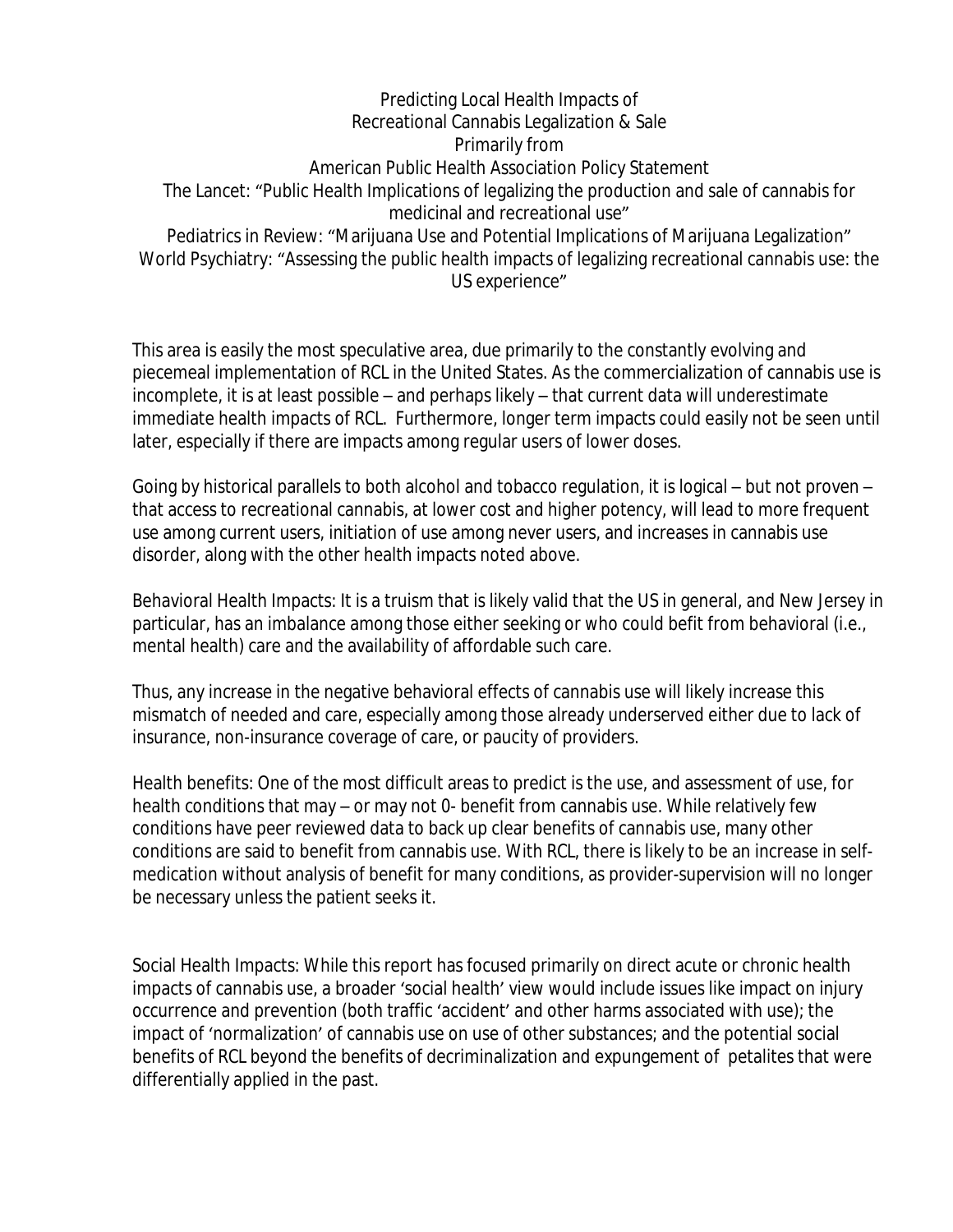Predicting Local Health Impacts of Recreational Cannabis Legalization & Sale Primarily from American Public Health Association Policy Statement The Lancet: "Public Health Implications of legalizing the production and sale of cannabis for medicinal and recreational use" Pediatrics in Review: "Marijuana Use and Potential Implications of Marijuana Legalization" World Psychiatry: "Assessing the public health impacts of legalizing recreational cannabis use: the US experience"

This area is easily the most speculative area, due primarily to the constantly evolving and piecemeal implementation of RCL in the United States. As the commercialization of cannabis use is incomplete, it is at least possible – and perhaps likely – that current data will underestimate immediate health impacts of RCL. Furthermore, longer term impacts could easily not be seen until later, especially if there are impacts among regular users of lower doses.

Going by historical parallels to both alcohol and tobacco regulation, it is logical – but not proven – that access to recreational cannabis, at lower cost and higher potency, will lead to more frequent use among current users, initiation of use among never users, and increases in cannabis use disorder, along with the other health impacts noted above.

Behavioral Health Impacts: It is a truism that is likely valid that the US in general, and New Jersey in particular, has an imbalance among those either seeking or who could befit from behavioral (i.e., mental health) care and the availability of affordable such care.

Thus, any increase in the negative behavioral effects of cannabis use will likely increase this mismatch of needed and care, especially among those already underserved either due to lack of insurance, non-insurance coverage of care, or paucity of providers.

Health benefits: One of the most difficult areas to predict is the use, and assessment of use, for health conditions that may – or may not 0- benefit from cannabis use. While relatively few conditions have peer reviewed data to back up clear benefits of cannabis use, many other conditions are said to benefit from cannabis use. With RCL, there is likely to be an increase in selfmedication without analysis of benefit for many conditions, as provider-supervision will no longer be necessary unless the patient seeks it.

Social Health Impacts: While this report has focused primarily on direct acute or chronic health impacts of cannabis use, a broader 'social health' view would include issues like impact on injury occurrence and prevention (both traffic 'accident' and other harms associated with use); the impact of 'normalization' of cannabis use on use of other substances; and the potential social benefits of RCL beyond the benefits of decriminalization and expungement of petalites that were differentially applied in the past.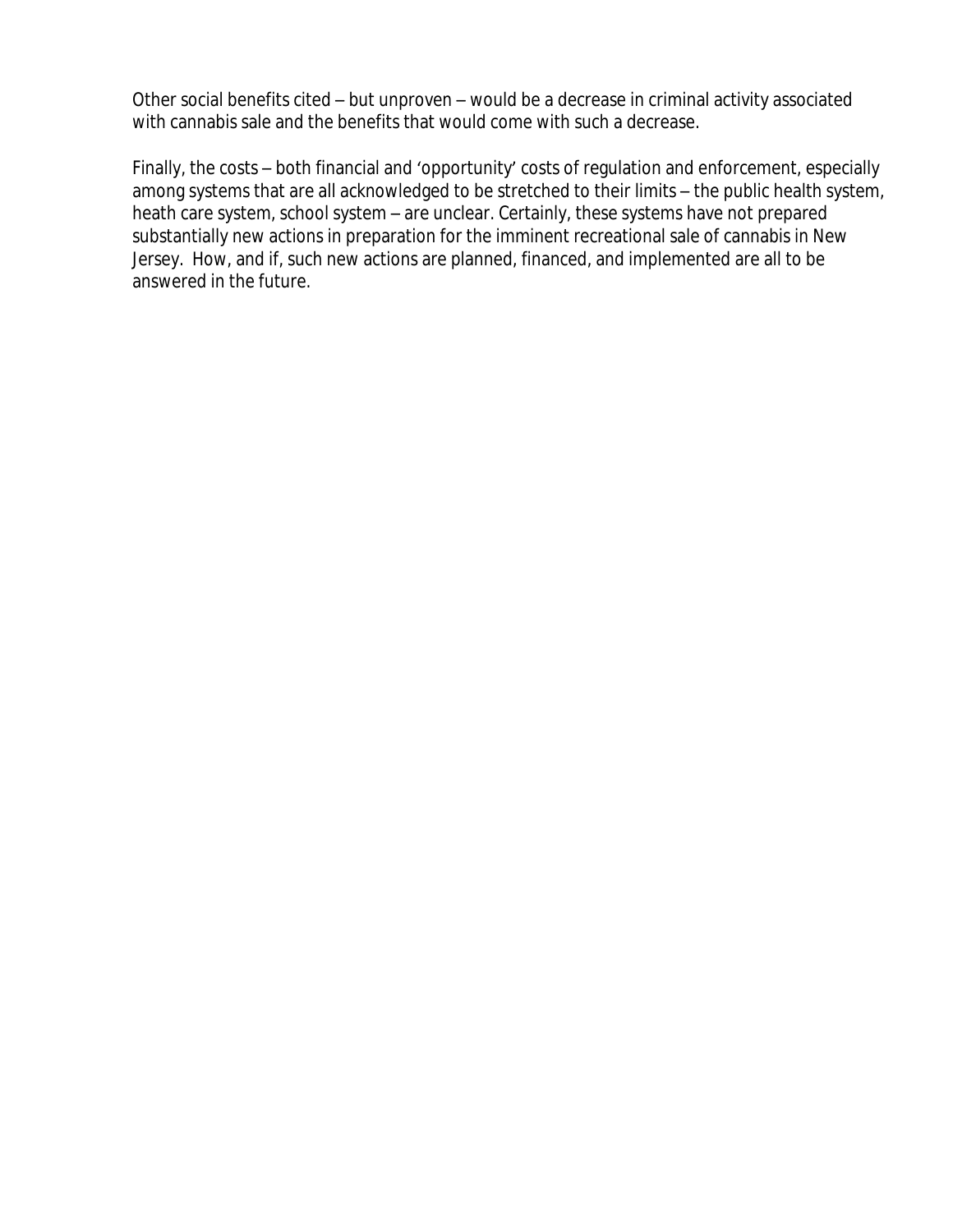Other social benefits cited – but unproven – would be a decrease in criminal activity associated with cannabis sale and the benefits that would come with such a decrease.

Finally, the costs – both financial and 'opportunity' costs of regulation and enforcement, especially among systems that are all acknowledged to be stretched to their limits – the public health system, heath care system, school system – are unclear. Certainly, these systems have not prepared substantially new actions in preparation for the imminent recreational sale of cannabis in New Jersey. How, and if, such new actions are planned, financed, and implemented are all to be answered in the future.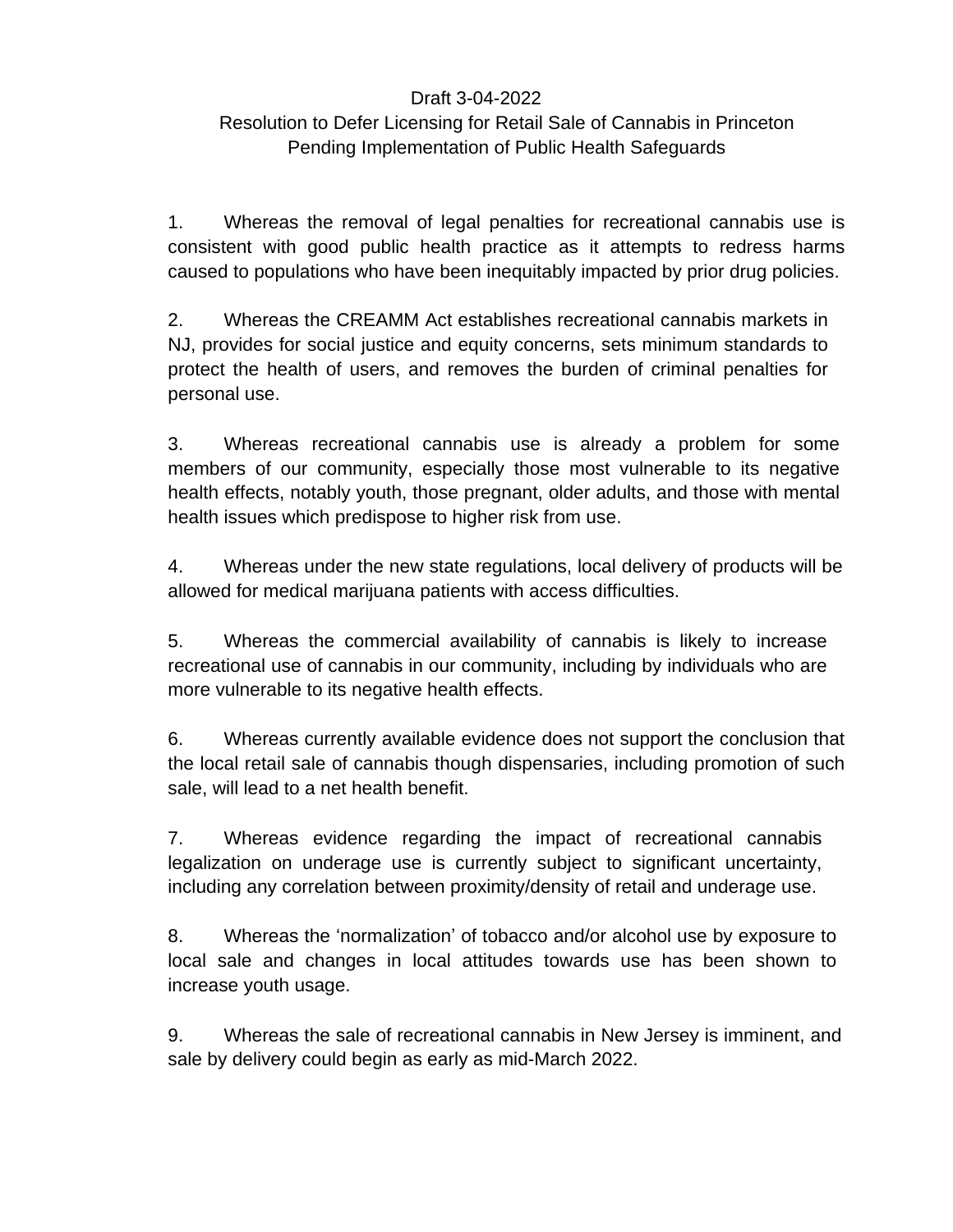### Draft 3-04-2022

### Resolution to Defer Licensing for Retail Sale of Cannabis in Princeton Pending Implementation of Public Health Safeguards

1. Whereas the removal of legal penalties for recreational cannabis use is consistent with good public health practice as it attempts to redress harms caused to populations who have been inequitably impacted by prior drug policies.

2. Whereas the CREAMM Act establishes recreational cannabis markets in NJ, provides for social justice and equity concerns, sets minimum standards to protect the health of users, and removes the burden of criminal penalties for personal use.

3. Whereas recreational cannabis use is already a problem for some members of our community, especially those most vulnerable to its negative health effects, notably youth, those pregnant, older adults, and those with mental health issues which predispose to higher risk from use.

4. Whereas under the new state regulations, local delivery of products will be allowed for medical marijuana patients with access difficulties.

5. Whereas the commercial availability of cannabis is likely to increase recreational use of cannabis in our community, including by individuals who are more vulnerable to its negative health effects.

6. Whereas currently available evidence does not support the conclusion that the local retail sale of cannabis though dispensaries, including promotion of such sale, will lead to a net health benefit.

7. Whereas evidence regarding the impact of recreational cannabis legalization on underage use is currently subject to significant uncertainty, including any correlation between proximity/density of retail and underage use.

8. Whereas the 'normalization' of tobacco and/or alcohol use by exposure to local sale and changes in local attitudes towards use has been shown to increase youth usage.

9. Whereas the sale of recreational cannabis in New Jersey is imminent, and sale by delivery could begin as early as mid-March 2022.